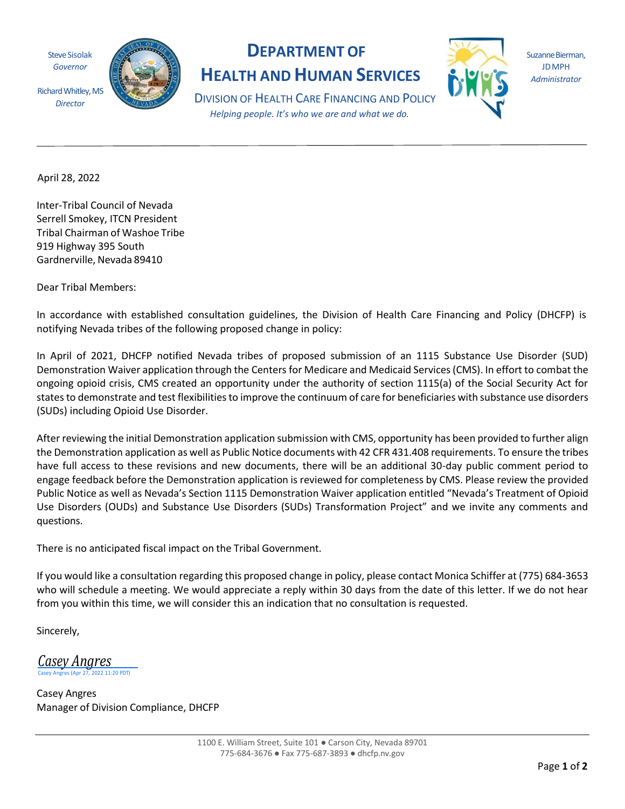Steve Sisolak *Governor*

*Director*



## **DEPARTMENT OF HEALTH AND HUMAN SERVICES**



Suzanne Bierman, JDMPH *Administrator*

DIVISION OF HEALTH CARE FINANCING AND POLICY *Helping people. It's who we are and what we do.*

April 28, 2022

Inter-Tribal Council of Nevada Serrell Smokey, ITCN President Tribal Chairman of Washoe Tribe 919 Highway 395 South Gardnerville, Nevada 89410

Dear Tribal Members:

In accordance with established consultation guidelines, the Division of Health Care Financing and Policy (DHCFP) is notifying Nevada tribes of the following proposed change in policy:

In April of 2021, DHCFP notified Nevada tribes of proposed submission of an 1115 Substance Use Disorder (SUD) Demonstration Waiver application through the Centers for Medicare and Medicaid Services (CMS). In effort to combat the ongoing opioid crisis, CMS created an opportunity under the authority of section 1115(a) of the Social Security Act for states to demonstrate and test flexibilities to improve the continuum of care for beneficiaries with substance use disorders (SUDs) including Opioid Use Disorder.

After reviewing the initial Demonstration application submission with CMS, opportunity has been provided to further align the Demonstration application as well as Public Notice documents with 42 CFR 431.408 requirements. To ensure the tribes have full access to these revisions and new documents, there will be an additional 30-day public comment period to engage feedback before the Demonstration application is reviewed for completeness by CMS. Please review the provided Public Notice as well as Nevada's Section 1115 Demonstration Waiver application entitled "Nevada's Treatment of Opioid Use Disorders (OUDs) and Substance Use Disorders (SUDs) Transformation Project" and we invite any comments and questions.

There is no anticipated fiscal impact on the Tribal Government.

If you would like a consultation regarding this proposed change in policy, please contact Monica Schiffer at (775) 684-3653 who will schedule a meeting. We would appreciate a reply within 30 days from the date of this letter. If we do not hear from you within this time, we will consider this an indication that no consultation is requested.

Sincerely,

*Casey [Angres](https://microsoftintegration.na2.echosign.com/verifier?tx=CBJCHBCAABAA4UFNyURvje2lUhrAgkwq-GNVCqv5B61T)*  $11:20$  PDT)

Casey Angres Manager of Division Compliance, DHCFP